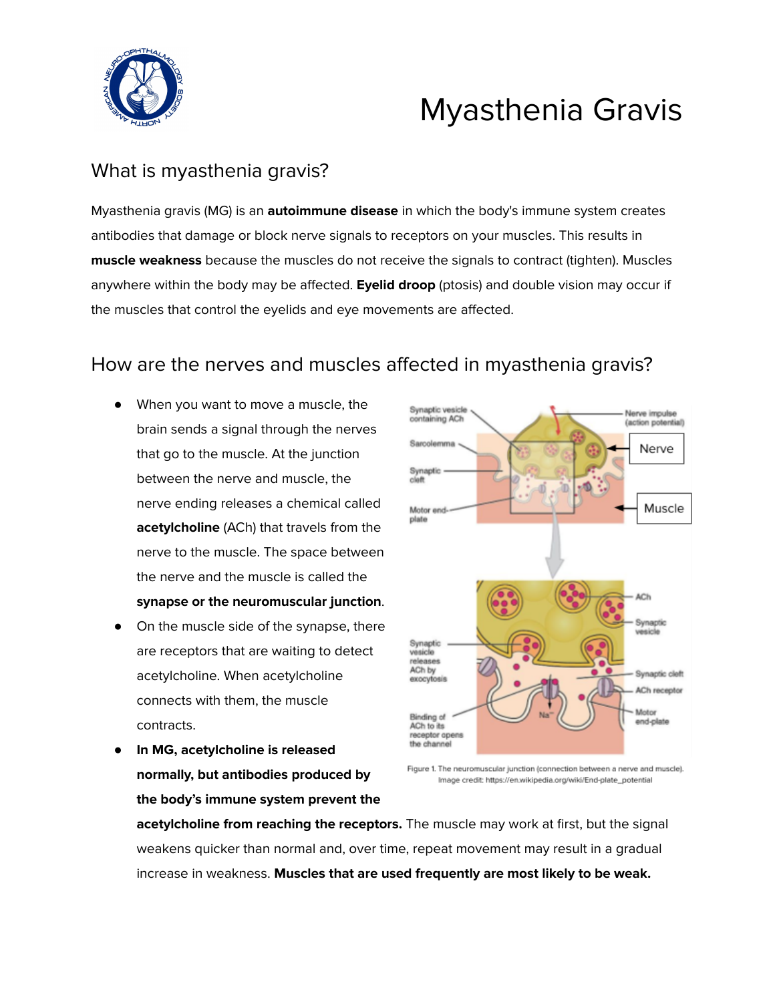

# Myasthenia Gravis

# What is myasthenia gravis?

Myasthenia gravis (MG) is an **autoimmune disease** in which the body's immune system creates antibodies that damage or block nerve signals to receptors on your muscles. This results in **muscle weakness** because the muscles do not receive the signals to contract (tighten). Muscles anywhere within the body may be affected. **Eyelid droop** (ptosis) and double vision may occur if the muscles that control the eyelids and eye movements are affected.

# How are the nerves and muscles affected in myasthenia gravis?

- When you want to move a muscle, the brain sends a signal through the nerves that go to the muscle. At the junction between the nerve and muscle, the nerve ending releases a chemical called **acetylcholine** (ACh) that travels from the nerve to the muscle. The space between the nerve and the muscle is called the **synapse or the neuromuscular junction**.
- On the muscle side of the synapse, there are receptors that are waiting to detect acetylcholine. When acetylcholine connects with them, the muscle contracts.
- **In MG, acetylcholine is released normally, but antibodies produced by the body's immune system prevent the**



Figure 1. The neuromuscular junction (connection between a nerve and muscle). Image credit; https://en.wikipedia.org/wiki/End-plate\_potential

**acetylcholine from reaching the receptors.** The muscle may work at first, but the signal weakens quicker than normal and, over time, repeat movement may result in a gradual increase in weakness. **Muscles that are used frequently are most likely to be weak.**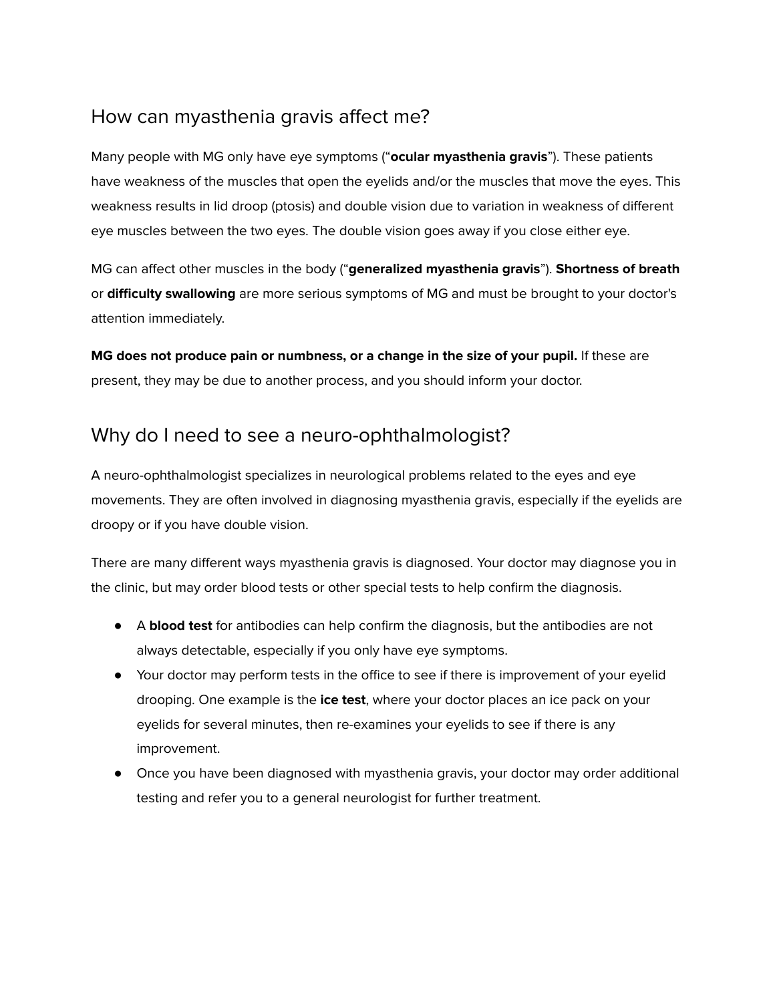# How can myasthenia gravis affect me?

Many people with MG only have eye symptoms ("**ocular myasthenia gravis**"). These patients have weakness of the muscles that open the eyelids and/or the muscles that move the eyes. This weakness results in lid droop (ptosis) and double vision due to variation in weakness of different eye muscles between the two eyes. The double vision goes away if you close either eye.

MG can affect other muscles in the body ("**generalized myasthenia gravis**"). **Shortness of breath** or **difficulty swallowing** are more serious symptoms of MG and must be brought to your doctor's attention immediately.

**MG does not produce pain or numbness, or a change in the size of your pupil.** If these are present, they may be due to another process, and you should inform your doctor.

#### Why do I need to see a neuro-ophthalmologist?

A neuro-ophthalmologist specializes in neurological problems related to the eyes and eye movements. They are often involved in diagnosing myasthenia gravis, especially if the eyelids are droopy or if you have double vision.

There are many different ways myasthenia gravis is diagnosed. Your doctor may diagnose you in the clinic, but may order blood tests or other special tests to help confirm the diagnosis.

- A **blood test** for antibodies can help confirm the diagnosis, but the antibodies are not always detectable, especially if you only have eye symptoms.
- Your doctor may perform tests in the office to see if there is improvement of your eyelid drooping. One example is the **ice test**, where your doctor places an ice pack on your eyelids for several minutes, then re-examines your eyelids to see if there is any improvement.
- Once you have been diagnosed with myasthenia gravis, your doctor may order additional testing and refer you to a general neurologist for further treatment.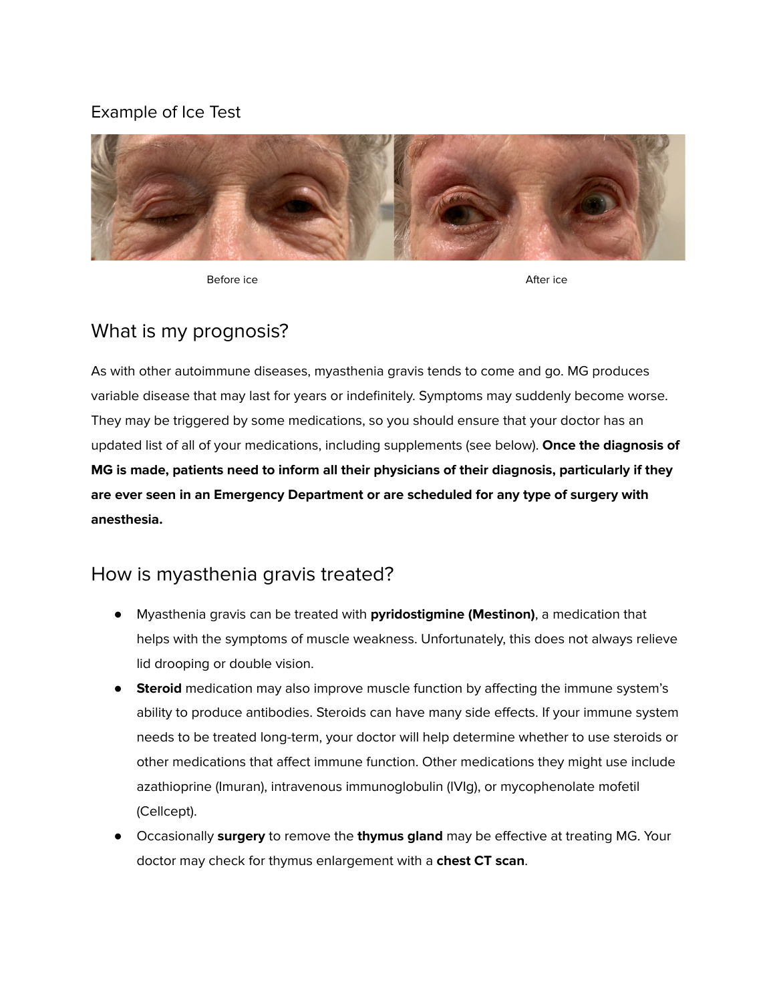#### Example of Ice Test



Before ice After ice

#### What is my prognosis?

As with other autoimmune diseases, myasthenia gravis tends to come and go. MG produces variable disease that may last for years or indefinitely. Symptoms may suddenly become worse. They may be triggered by some medications, so you should ensure that your doctor has an updated list of all of your medications, including supplements (see below). **Once the diagnosis of MG is made, patients need to inform all their physicians of their diagnosis, particularly if they are ever seen in an Emergency Department or are scheduled for any type of surgery with anesthesia.**

#### How is myasthenia gravis treated?

- Myasthenia gravis can be treated with **pyridostigmine (Mestinon)**, a medication that helps with the symptoms of muscle weakness. Unfortunately, this does not always relieve lid drooping or double vision.
- **Steroid** medication may also improve muscle function by affecting the immune system's ability to produce antibodies. Steroids can have many side effects. If your immune system needs to be treated long-term, your doctor will help determine whether to use steroids or other medications that affect immune function. Other medications they might use include azathioprine (Imuran), intravenous immunoglobulin (IVIg), or mycophenolate mofetil (Cellcept).
- Occasionally **surgery** to remove the **thymus gland** may be effective at treating MG. Your doctor may check for thymus enlargement with a **chest CT scan**.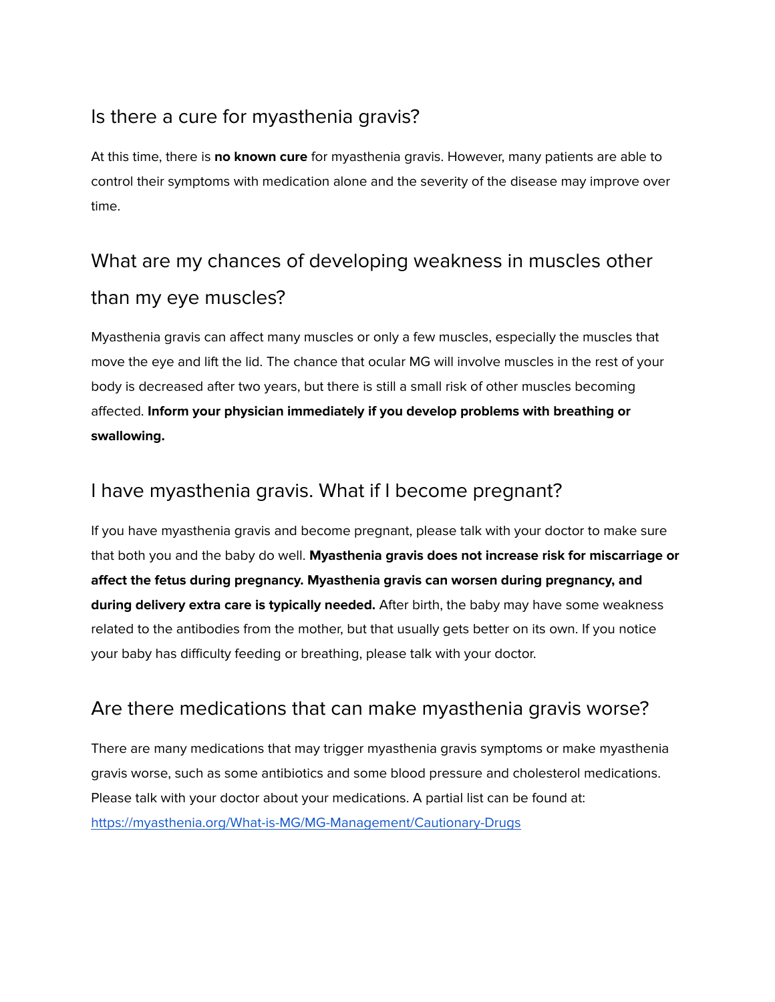# Is there a cure for myasthenia gravis?

At this time, there is **no known cure** for myasthenia gravis. However, many patients are able to control their symptoms with medication alone and the severity of the disease may improve over time.

# What are my chances of developing weakness in muscles other than my eye muscles?

Myasthenia gravis can affect many muscles or only a few muscles, especially the muscles that move the eye and lift the lid. The chance that ocular MG will involve muscles in the rest of your body is decreased after two years, but there is still a small risk of other muscles becoming affected. **Inform your physician immediately if you develop problems with breathing or swallowing.**

#### I have myasthenia gravis. What if I become pregnant?

If you have myasthenia gravis and become pregnant, please talk with your doctor to make sure that both you and the baby do well. **Myasthenia gravis does not increase risk for miscarriage or affect the fetus during pregnancy. Myasthenia gravis can worsen during pregnancy, and during delivery extra care is typically needed.** After birth, the baby may have some weakness related to the antibodies from the mother, but that usually gets better on its own. If you notice your baby has difficulty feeding or breathing, please talk with your doctor.

# Are there medications that can make myasthenia gravis worse?

There are many medications that may trigger myasthenia gravis symptoms or make myasthenia gravis worse, such as some antibiotics and some blood pressure and cholesterol medications. Please talk with your doctor about your medications. A partial list can be found at: <https://myasthenia.org/What-is-MG/MG-Management/Cautionary-Drugs>